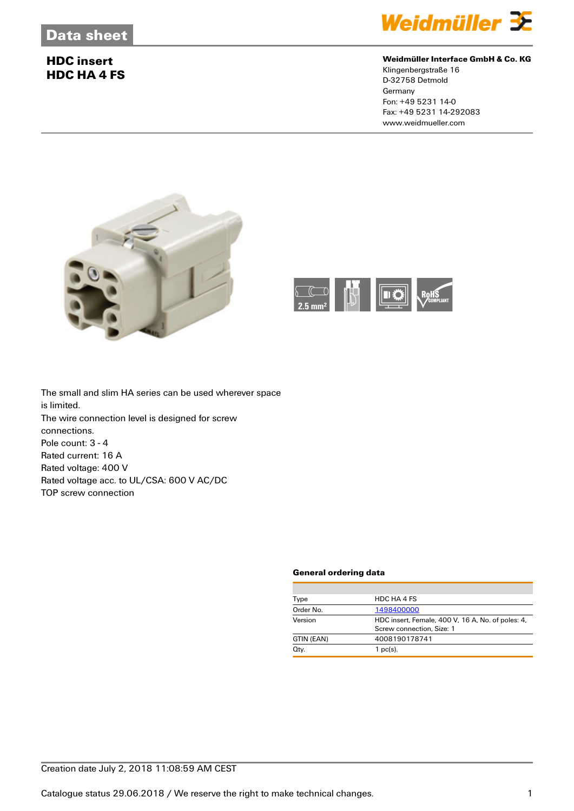# **HDC insert HDC HA 4 FS**



## **Weidmüller Interface GmbH & Co. KG**

Klingenbergstraße 16 D-32758 Detmold **Germany** Fon: +49 5231 14-0 Fax: +49 5231 14-292083 www.weidmueller.com





The small and slim HA series can be used wherever space is limited. The wire connection level is designed for screw connections. Pole count: 3 - 4 Rated current: 16 A Rated voltage: 400 V Rated voltage acc. to UL/CSA: 600 V AC/DC TOP screw connection

#### **General ordering data**

| Type       | HDC HA 4 FS                                       |  |
|------------|---------------------------------------------------|--|
| Order No.  | 1498400000                                        |  |
| Version    | HDC insert, Female, 400 V, 16 A, No. of poles: 4, |  |
|            | Screw connection, Size: 1                         |  |
| GTIN (EAN) | 4008190178741                                     |  |
| Qty.       | $1$ pc(s).                                        |  |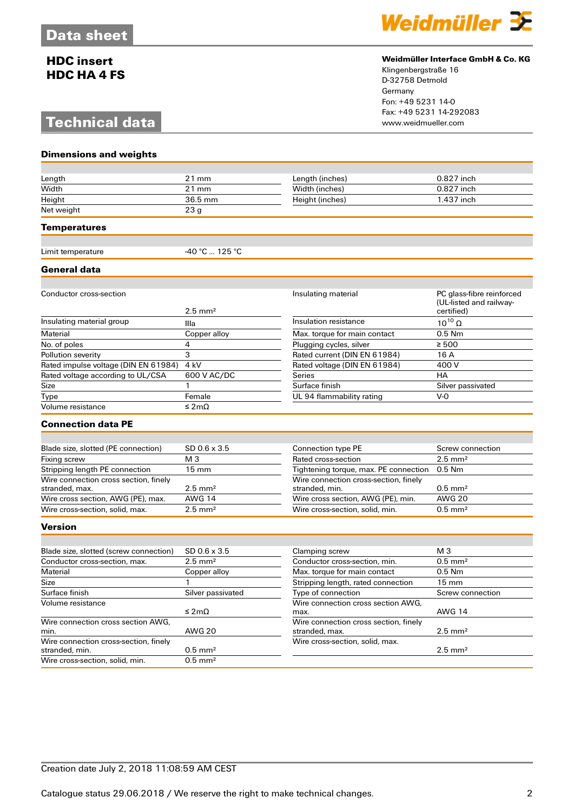# **HDC insert HDC HA 4 FS**

# **Technical data**

**Dimensions and weights**



### **Weidmüller Interface GmbH & Co. KG**

Klingenbergstraße 16 D-32758 Detmold Germany Fon: +49 5231 14-0 Fax: +49 5231 14-292083

| Length                                                  | $21$ mm               | Length (inches)                                         | 0.827 inch                                                         |
|---------------------------------------------------------|-----------------------|---------------------------------------------------------|--------------------------------------------------------------------|
| Width                                                   | $21$ mm               | Width (inches)                                          | 0.827 inch                                                         |
| Height                                                  | 36.5 mm               | Height (inches)                                         | 1.437 inch                                                         |
| Net weight                                              | 23 <sub>g</sub>       |                                                         |                                                                    |
| Temperatures                                            |                       |                                                         |                                                                    |
|                                                         | -40 ℃  125 ℃          |                                                         |                                                                    |
| Limit temperature                                       |                       |                                                         |                                                                    |
| General data                                            |                       |                                                         |                                                                    |
|                                                         |                       |                                                         |                                                                    |
| Conductor cross-section                                 | $2.5$ mm <sup>2</sup> | Insulating material                                     | PC glass-fibre reinforced<br>(UL-listed and railway-<br>certified) |
| Insulating material group                               | Illa                  | Insulation resistance                                   | $10^{10}$ $\Omega$                                                 |
| Material                                                | Copper alloy          | Max. torque for main contact                            | $0.5$ Nm                                                           |
| No. of poles                                            | $\overline{4}$        | Plugging cycles, silver                                 | $\geq 500$                                                         |
| Pollution severity                                      | 3                     | Rated current (DIN EN 61984)                            | 16 A                                                               |
| Rated impulse voltage (DIN EN 61984)                    | 4 <sub>kV</sub>       | Rated voltage (DIN EN 61984)                            | 400 V                                                              |
| Rated voltage according to UL/CSA                       | 600 V AC/DC           | Series                                                  | <b>HA</b>                                                          |
| Size                                                    | 1                     | Surface finish                                          | Silver passivated                                                  |
| Type                                                    | Female                | UL 94 flammability rating                               | $V-0$                                                              |
| Volume resistance                                       | ≤ 2mΩ                 |                                                         |                                                                    |
| <b>Connection data PE</b>                               |                       |                                                         |                                                                    |
|                                                         |                       |                                                         |                                                                    |
| Blade size, slotted (PE connection)                     | $SD$ 0.6 $\times$ 3.5 | <b>Connection type PE</b>                               | Screw connection                                                   |
| Fixing screw                                            | M <sub>3</sub>        | Rated cross-section                                     | $2.5$ mm <sup>2</sup>                                              |
| Stripping length PE connection                          | 15 mm                 | Tightening torque, max. PE connection                   | $0.5$ Nm                                                           |
| Wire connection cross section, finely                   |                       | Wire connection cross-section, finely                   |                                                                    |
| stranded, max.                                          | $2.5$ mm <sup>2</sup> | stranded, min.                                          | $0.5$ mm <sup>2</sup>                                              |
| Wire cross section, AWG (PE), max.                      | <b>AWG 14</b>         | Wire cross section, AWG (PE), min.                      | <b>AWG 20</b>                                                      |
| Wire cross-section, solid, max.                         | $2.5$ mm <sup>2</sup> | Wire cross-section, solid, min.                         | $0.5$ mm <sup>2</sup>                                              |
| Version                                                 |                       |                                                         |                                                                    |
|                                                         |                       |                                                         |                                                                    |
| Blade size, slotted (screw connection)                  | SD 0.6 x 3.5          | Clamping screw                                          | M <sub>3</sub>                                                     |
| Conductor cross-section, max.                           | $2.5$ mm <sup>2</sup> | Conductor cross-section, min.                           | $0.5$ mm <sup>2</sup>                                              |
| Material                                                | Copper alloy          | Max. torque for main contact                            | $0.5$ Nm                                                           |
| Size                                                    | $\mathbf{1}$          | Stripping length, rated connection                      | $15 \text{ mm}$                                                    |
| Surface finish                                          | Silver passivated     | Type of connection                                      | Screw connection                                                   |
| Volume resistance                                       | ≤ 2mΩ                 | Wire connection cross section AWG.<br>max.              | <b>AWG 14</b>                                                      |
| Wire connection cross section AWG,<br>min.              | <b>AWG 20</b>         | Wire connection cross section, finely<br>stranded, max. | $2.5$ mm <sup>2</sup>                                              |
| Wire connection cross-section, finely<br>stranded, min. | $0.5$ mm <sup>2</sup> | Wire cross-section, solid, max.                         | $2.5$ mm <sup>2</sup>                                              |

Wire cross-section, solid, min.  $0.5 \text{ mm}^2$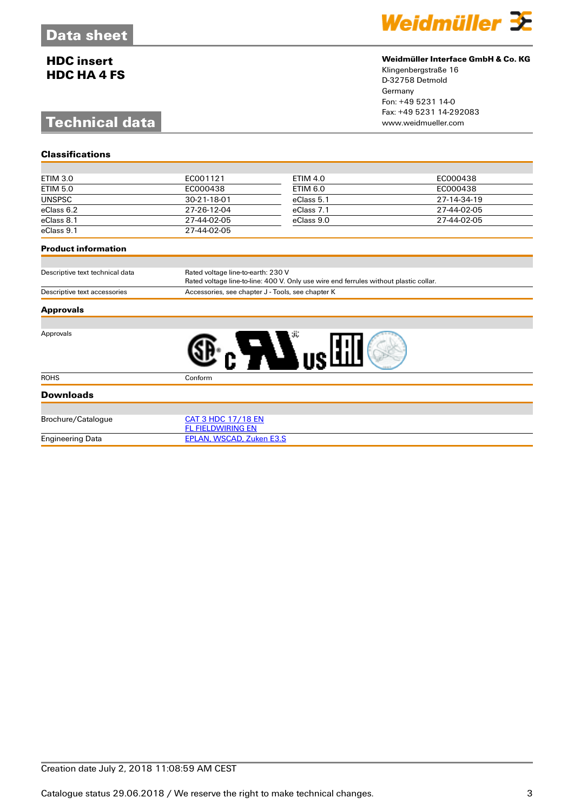# **HDC insert HDC HA 4 FS**

**Classifications**

# **Technical data**



## **Weidmüller Interface GmbH & Co. KG**

Klingenbergstraße 16 D-32758 Detmold Germany Fon: +49 5231 14-0 Fax: +49 5231 14-292083

| ETIM 3.0      | EC001121    | ETIM 4.0   | EC000438    |
|---------------|-------------|------------|-------------|
| ETIM 5.0      | EC000438    | ETIM 6.0   | EC000438    |
| <b>UNSPSC</b> | 30-21-18-01 | eClass 5.1 | 27-14-34-19 |
| eClass 6.2    | 27-26-12-04 | eClass 7.1 | 27-44-02-05 |
| eClass 8.1    | 27-44-02-05 | eClass 9.0 | 27-44-02-05 |
| eClass 9.1    | 27-44-02-05 |            |             |

### **Product information**

| Descriptive text technical data | Rated voltage line-to-earth: 230 V                                                    |  |
|---------------------------------|---------------------------------------------------------------------------------------|--|
|                                 | Rated voltage line-to-line: 400 V. Only use wire end ferrules without plastic collar. |  |
| Descriptive text accessories    | Accessories, see chapter J - Tools, see chapter K                                     |  |

#### **Approvals**

Approvals



|  | $\mathcal{L}^{\text{max}}_{\text{max}}$ and $\mathcal{L}^{\text{max}}_{\text{max}}$ and $\mathcal{L}^{\text{max}}_{\text{max}}$ and $\mathcal{L}^{\text{max}}_{\text{max}}$ |  |
|--|-----------------------------------------------------------------------------------------------------------------------------------------------------------------------------|--|
|  |                                                                                                                                                                             |  |
|  |                                                                                                                                                                             |  |
|  |                                                                                                                                                                             |  |
|  |                                                                                                                                                                             |  |
|  |                                                                                                                                                                             |  |
|  |                                                                                                                                                                             |  |
|  |                                                                                                                                                                             |  |

| <b>Downloads</b>        |                          |  |
|-------------------------|--------------------------|--|
|                         |                          |  |
| Brochure/Catalogue      | CAT 3 HDC 17/18 EN       |  |
|                         | FL FIELDWIRING EN        |  |
| <b>Engineering Data</b> | EPLAN, WSCAD, Zuken E3.S |  |